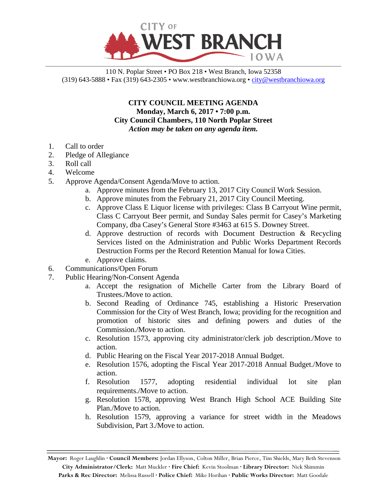

110 N. Poplar Street • PO Box 218 • West Branch, Iowa 52358 (319) 643-5888 • Fax (319) 643-2305 • www.westbranchiowa.org •  $\text{city@westbranchiowa.org}$ 

> **CITY COUNCIL MEETING AGENDA Monday, March 6, 2017 • 7:00 p.m. City Council Chambers, 110 North Poplar Street** *Action may be taken on any agenda item.*

- 1. Call to order
- 2. Pledge of Allegiance
- 3. Roll call
- 4. Welcome
- 5. Approve Agenda/Consent Agenda/Move to action.
	- a. Approve minutes from the February 13, 2017 City Council Work Session.
	- b. Approve minutes from the February 21, 2017 City Council Meeting.
	- c. Approve Class E Liquor license with privileges: Class B Carryout Wine permit, Class C Carryout Beer permit, and Sunday Sales permit for Casey's Marketing Company, dba Casey's General Store #3463 at 615 S. Downey Street.
	- d. Approve destruction of records with Document Destruction & Recycling Services listed on the Administration and Public Works Department Records Destruction Forms per the Record Retention Manual for Iowa Cities.
	- e. Approve claims.
- 6. Communications/Open Forum
- 7. Public Hearing/Non-Consent Agenda
	- a. Accept the resignation of Michelle Carter from the Library Board of Trustees./Move to action.
	- b. Second Reading of Ordinance 745, establishing a Historic Preservation Commission for the City of West Branch, Iowa; providing for the recognition and promotion of historic sites and defining powers and duties of the Commission./Move to action.
	- c. Resolution 1573, approving city administrator/clerk job description./Move to action.
	- d. Public Hearing on the Fiscal Year 2017-2018 Annual Budget.
	- e. Resolution 1576, adopting the Fiscal Year 2017-2018 Annual Budget./Move to action.
	- f. Resolution 1577, adopting residential individual lot site plan requirements./Move to action.
	- g. Resolution 1578, approving West Branch High School ACE Building Site Plan./Move to action.
	- h. Resolution 1579, approving a variance for street width in the Meadows Subdivision, Part 3./Move to action.

**Mayor:** Roger Laughlin **· Council Members:** Jordan Ellyson, Colton Miller, Brian Pierce, Tim Shields, Mary Beth Stevenson **City Administrator/Clerk:** Matt Muckler **· Fire Chief:** Kevin Stoolman **· Library Director:** Nick Shimmin **Parks & Rec Director:** Melissa Russell **· Police Chief:** Mike Horihan **· Public Works Director:** Matt Goodale